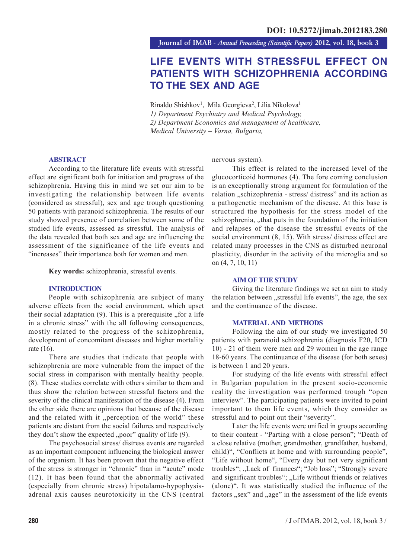**Journal of IMAB** *- Annual Proceeding (Scientific Papers)* **2012, vol. 18, book 3**

# **LIFE EVENTS WITH STRESSFUL EFFECT ON PATIENTS WITH SCHIZOPHRENIA ACCORDING TO THE SEX AND AGE**

Rinaldo Shishkov<sup>1</sup>, Mila Georgieva<sup>2</sup>, Lilia Nikolova<sup>1</sup> *1) Department Psychiatry and Medical Psychology, 2) Department Economics and management of healthcare, Medical University – Varna, Bulgaria,*

#### **ABSTRACT**

According to the literature life events with stressful effect are significant both for initiation and progress of the schizophrenia. Having this in mind we set our aim to be investigating the relationship between life events (considered as stressful), sex and age trough questioning 50 patients with paranoid schizophrenia. The results of our study showed presence of correlation between some of the studied life events, assessed as stressful. The analysis of the data revealed that both sex and age are influencing the assessment of the significance of the life events and "increases" their importance both for women and men.

**Key words:** schizophrenia, stressful events.

#### **INTRODUCTION**

People with schizophrenia are subject of many adverse effects from the social environment, which upset their social adaptation  $(9)$ . This is a prerequisite  $\Delta$  for a life in a chronic stress" with the all following consequences, mostly related to the progress of the schizophrenia, development of concomitant diseases and higher mortality rate (16).

There are studies that indicate that people with schizophrenia are more vulnerable from the impact of the social stress in comparison with mentally healthy people. (8). These studies correlate with others similar to them and thus show the relation between stressful factors and the severity of the clinical manifestation of the disease (4). From the other side there are opinions that because of the disease and the related with it "perception of the world" these patients are distant from the social failures and respectively they don't show the expected  $, poor$  quality of life  $(9)$ .

The psychosocial stress/ distress events are regarded as an important component influencing the biological answer of the organism. It has been proven that the negative effect of the stress is stronger in "chronic" than in "acute" mode (12). It has been found that the abnormally activated (especially from chronic stress) hipotalamo-hypophysisadrenal axis causes neurotoxicity in the CNS (central nervous system).

This effect is related to the increased level of the glucocorticoid hormones (4). The fore coming conclusion is an exceptionally strong argument for formulation of the relation "schizophrenia - stress/ distress" and its action as a pathogenetic mechanism of the disease. At this base is structured the hypothesis for the stress model of the schizophrenia, "that puts in the foundation of the initiation and relapses of the disease the stressful events of the social environment (8, 15). With stress/distress effect are related many processes in the CNS as disturbed neuronal plasticity, disorder in the activity of the microglia and so on (4, 7, 10, 11)

### **AIM OF THE STUDY**

Giving the literature findings we set an aim to study the relation between "stressful life events", the age, the sex and the continuance of the disease.

#### **MATERIAL AND METHODS**

Following the aim of our study we investigated 50 patients with paranoid schizophrenia (diagnosis F20, ICD 10) - 21 of them were men and 29 women in the age range 18-60 years. The continuance of the disease (for both sexes) is between 1 and 20 years.

For studying of the life events with stressful effect in Bulgarian population in the present socio-economic reality the investigation was performed trough "open interview". The participating patients were invited to point important to them life events, which they consider as stressful and to point out their "severity".

Later the life events were unified in groups according to their content - "Parting with a close person"; "Death of a close relative (mother, grandmother, grandfather, husband, child)", "Conflicts at home and with surrounding people", "Life without home", "Every day but not very significant troubles"; "Lack of finances"; "Job loss"; "Strongly severe and significant troubles"; "Life without friends or relatives (alone)". It was statistically studied the influence of the factors "sex" and "age" in the assessment of the life events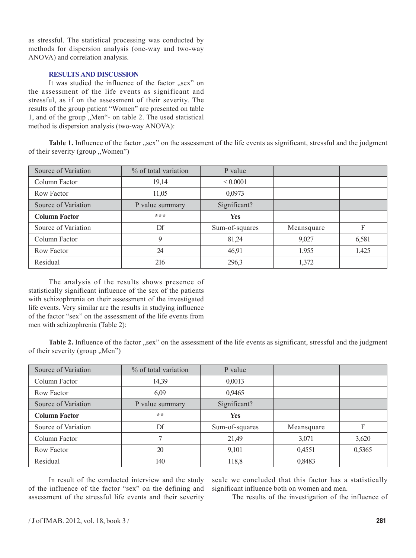as stressful. The statistical processing was conducted by methods for dispersion analysis (one-way and two-way ANOVA) and correlation analysis.

## **RESULTS AND DISCUSSION**

It was studied the influence of the factor "sex" on the assessment of the life events as significant and stressful, as if on the assessment of their severity. The results of the group patient "Women" are presented on table 1, and of the group "Men"- on table 2. The used statistical method is dispersion analysis (two-way ANOVA):

Table 1. Influence of the factor "sex" on the assessment of the life events as significant, stressful and the judgment of their severity (group "Women")

| Source of Variation  | % of total variation | P value        |            |       |
|----------------------|----------------------|----------------|------------|-------|
| Column Factor        | 19,14                | ${}_{0.0001}$  |            |       |
| Row Factor           | 11,05                | 0,0973         |            |       |
| Source of Variation  | P value summary      | Significant?   |            |       |
| <b>Column Factor</b> | ***                  | <b>Yes</b>     |            |       |
| Source of Variation  | $\mathbf{D}$ f       | Sum-of-squares | Meansquare | F     |
| Column Factor        | 9                    | 81,24          | 9,027      | 6,581 |
| Row Factor           | 24                   | 46,91          | 1,955      | 1,425 |
| Residual             | 216                  | 296,3          | 1,372      |       |

The analysis of the results shows presence of statistically significant influence of the sex of the patients with schizophrenia on their assessment of the investigated life events. Very similar are the results in studying influence of the factor "sex" on the assessment of the life events from men with schizophrenia (Table 2):

**Table 2.** Influence of the factor "sex" on the assessment of the life events as significant, stressful and the judgment of their severity (group "Men")

| Source of Variation  | % of total variation | P value        |            |        |
|----------------------|----------------------|----------------|------------|--------|
| Column Factor        | 14,39                | 0,0013         |            |        |
| Row Factor           | 6,09                 | 0,9465         |            |        |
| Source of Variation  | P value summary      | Significant?   |            |        |
| <b>Column Factor</b> | **                   | <b>Yes</b>     |            |        |
| Source of Variation  | Df                   | Sum-of-squares | Meansquare | F      |
| Column Factor        |                      | 21,49          | 3,071      | 3,620  |
| Row Factor           | 20                   | 9,101          | 0,4551     | 0,5365 |
| Residual             | 140                  | 118,8          | 0,8483     |        |

In result of the conducted interview and the study of the influence of the factor "sex" on the defining and assessment of the stressful life events and their severity

scale we concluded that this factor has a statistically significant influence both on women and men.

The results of the investigation of the influence of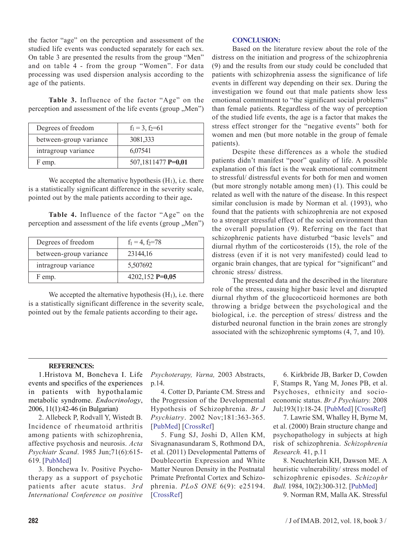the factor "age" on the perception and assessment of the studied life events was conducted separately for each sex. On table 3 are presented the results from the group "Men" and on table 4 - from the group "Women". For data processing was used dispersion analysis according to the age of the patients.

**Table 3.** Influence of the factor "Age" on the perception and assessment of the life events (group "Men")

| Degrees of freedom     | $f_1 = 3$ , $f_2 = 61$ |  |  |
|------------------------|------------------------|--|--|
| between-group variance | 3081,333               |  |  |
| intragroup variance    | 6,07541                |  |  |
| F emp.                 | 507,1811477 P=0,01     |  |  |

We accepted the alternative hypothesis  $(H<sub>1</sub>)$ , i.e. there is a statistically significant difference in the severity scale, pointed out by the male patients according to their age**.**

**Table 4.** Influence of the factor "Age" on the perception and assessment of the life events (group "Men")

| Degrees of freedom     | $f_1 = 4$ , $f_2 = 78$ |  |
|------------------------|------------------------|--|
| between-group variance | 23144,16               |  |
| intragroup variance    | 5,507692               |  |
| F emp.                 | 4202,152 $P=0,05$      |  |

We accepted the alternative hypothesis  $(H_1)$ , i.e. there is a statistically significant difference in the severity scale, pointed out by the female patients according to their age**.**

## **CONCLUSION:**

Based on the literature review about the role of the distress on the initiation and progress of the schizophrenia (9) and the results from our study could be concluded that patients with schizophrenia assess the significance of life events in different way depending on their sex. During the investigation we found out that male patients show less emotional commitment to "the significant social problems" than female patients. Regardless of the way of perception of the studied life events, the age is a factor that makes the stress effect stronger for the "negative events" both for women and men (but more notable in the group of female patients).

Despite these differences as a whole the studied patients didn't manifest "poor" quality of life. A possible explanation of this fact is the weak emotional commitment to stressful/ distressful events for both for men and women (but more strongly notable among men) (1). This could be related as well with the nature of the disease. In this respect similar conclusion is made by Norman et al. (1993), who found that the patients with schizophrenia are not exposed to a stronger stressful effect of the social environment than the overall population (9). Referring on the fact that schizophrenic patients have disturbed "basic levels" and diurnal rhythm of the corticosteroids (15), the role of the distress (even if it is not very manifested) could lead to organic brain changes, that are typical for "significant" and chronic stress/ distress.

The presented data and the described in the literature role of the stress, causing higher basic level and disrupted diurnal rhythm of the glucocorticoid hormones are both throwing a bridge between the psychological and the biological, i.e. the perception of stress/ distress and the disturbed neuronal function in the brain zones are strongly associated with the schizophrenic symptoms (4, 7, and 10).

## **REFERENCES:**

1.Hristova M, Boncheva I. Life events and specifics of the experiences in patients with hypothalamic metabolic syndrome. *Endocrinology*, 2006, 11(1):42-46 (in Bulgarian)

2. Allebeck P, Rodvall Y, Wistedt B. Incidence of rheumatoid arthritis among patients with schizophrenia, affective psychosis and neurosis. *Acta Psychiatr Scand*. 1985 Jun;71(6):615- 619. [PubMed]

3. Bonchewa Iv. Positive Psychotherapy as a support of psychotic patients after acute status. *3rd International Conference on positive* *Psychoterapy, Varna,* 2003 Abstracts, ð.14.

4. Cotter D, Pariante CM. Stress and the Progression of the Developmental Hypothesis of Schizophrenia. *Br J Psychiatry*. 2002 Nov;181:363-365. [PubMed] [CrossRef]

5. Fung SJ, Joshi D, Allen KM, Sivagnanasundaram S, Rothmond DA, et al. (2011) Developmental Patterns of Doublecortin Expression and White Matter Neuron Density in the Postnatal Primate Prefrontal Cortex and Schizophrenia. *PLoS ONE* 6(9): e25194. [CrossRef]

6. Kirkbride JB, Barker D, Cowden F, Stamps R, Yang M, Jones PB, et al. Psychoses, ethnicity and socioeconomic status. *Br J Psychiatry.* 2008 Jul;193(1):18-24. [PubMed] [CrossRef]

7. Lawrie SM, Whalley H, Byrne M, et al. (2000) Brain structure change and psychopathology in subjects at high risk of schizophrenia. *Schizophrenia Research.* 41, p.11

8. Neuchterlein KH, Dawson ME. A heuristic vulnerability/ stress model of schizophrenic episodes. *Schizophr Bull.* 1984, 10(2):300-312. [PubMed]

9. Norman RM, Malla AK. Stressful